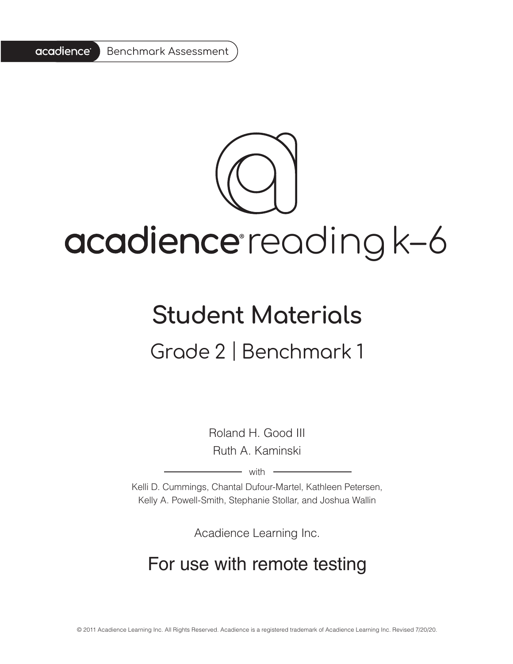

# acadience reading k-6

# **Student Materials** Grade 2 | Benchmark 1

Roland H. Good III Ruth A. Kaminski

 $-$  with  $-$ 

Kelli D. Cummings, Chantal Dufour-Martel, Kathleen Petersen, Kelly A. Powell-Smith, Stephanie Stollar, and Joshua Wallin

Acadience Learning Inc.

# For use with remote testing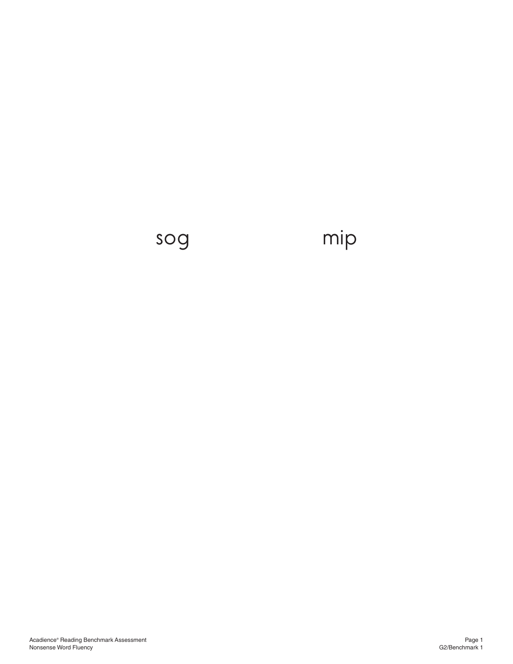# sog mip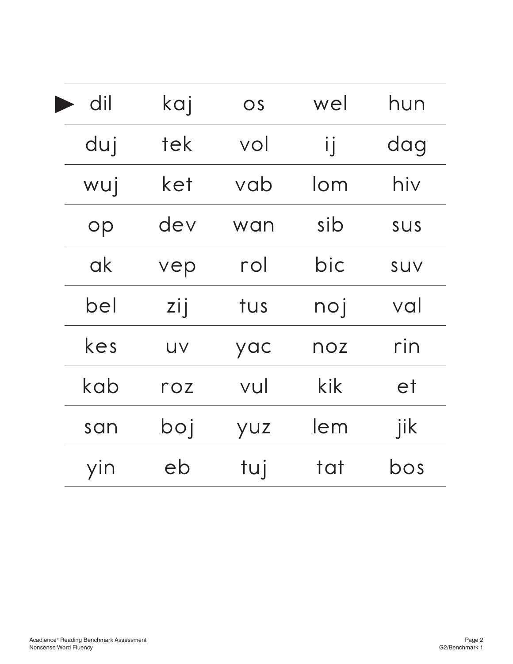| dil | kaj         | OS  | wel    | hun        |
|-----|-------------|-----|--------|------------|
| duj | tek         | vol | ij     | dag        |
| wuj | ket         | vab | $l$ om | hiv        |
| op  | dev         | wan | sib    | <b>SUS</b> |
| ak  | vep         | rol | bic    | SUV        |
| bel | zij         | tus | noj    | val        |
| kes | UV          | yac | noz    | rin        |
| kab | $\Gamma$ OZ | vul | kik    | et         |
| san | boj         | yuz | lem    | jik        |
| yin | eb          | tuj | tat    | bos        |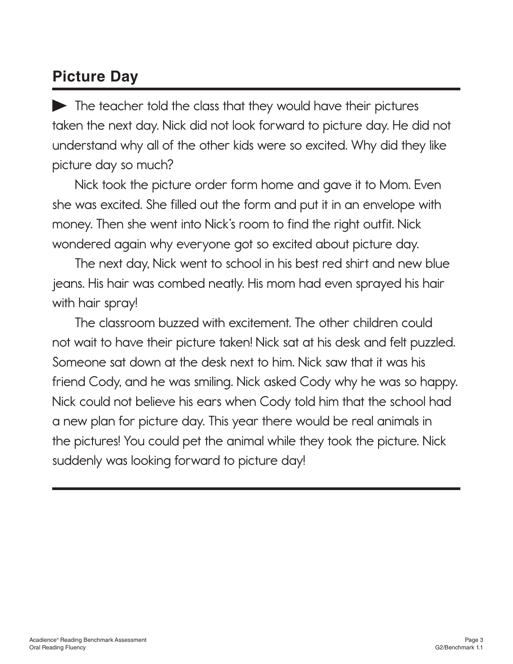### **Picture Day**

The teacher told the class that they would have their pictures taken the next day. Nick did not look forward to picture day. He did not understand why all of the other kids were so excited. Why did they like picture day so much?

Nick took the picture order form home and gave it to Mom. Even she was excited. She filled out the form and put it in an envelope with money. Then she went into Nick's room to find the right outfit. Nick wondered again why everyone got so excited about picture day.

The next day, Nick went to school in his best red shirt and new blue jeans. His hair was combed neatly. His mom had even sprayed his hair with hair spray!

The classroom buzzed with excitement. The other children could not wait to have their picture taken! Nick sat at his desk and felt puzzled. Someone sat down at the desk next to him. Nick saw that it was his friend Cody, and he was smiling. Nick asked Cody why he was so happy. Nick could not believe his ears when Cody told him that the school had a new plan for picture day. This year there would be real animals in the pictures! You could pet the animal while they took the picture. Nick suddenly was looking forward to picture day!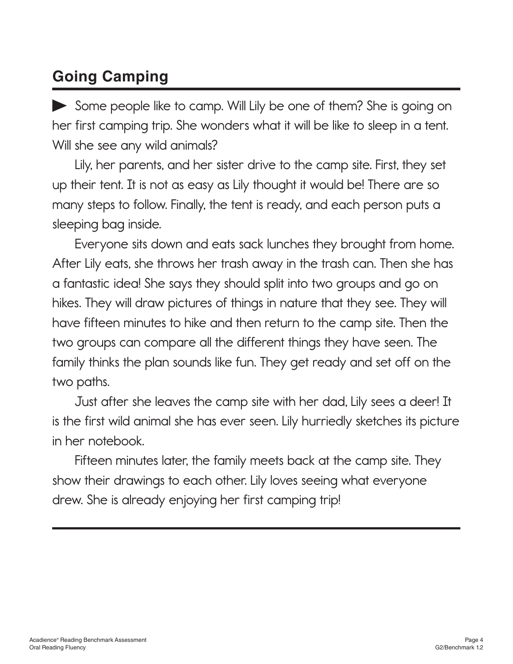## **Going Camping**

Some people like to camp. Will Lily be one of them? She is going on her first camping trip. She wonders what it will be like to sleep in a tent. Will she see any wild animals?

Lily, her parents, and her sister drive to the camp site. First, they set up their tent. It is not as easy as Lily thought it would be! There are so many steps to follow. Finally, the tent is ready, and each person puts a sleeping bag inside.

Everyone sits down and eats sack lunches they brought from home. After Lily eats, she throws her trash away in the trash can. Then she has a fantastic idea! She says they should split into two groups and go on hikes. They will draw pictures of things in nature that they see. They will have fifteen minutes to hike and then return to the camp site. Then the two groups can compare all the different things they have seen. The family thinks the plan sounds like fun. They get ready and set off on the two paths.

Just after she leaves the camp site with her dad, Lily sees a deer! It is the first wild animal she has ever seen. Lily hurriedly sketches its picture in her notebook.

Fifteen minutes later, the family meets back at the camp site. They show their drawings to each other. Lily loves seeing what everyone drew. She is already enjoying her first camping trip!